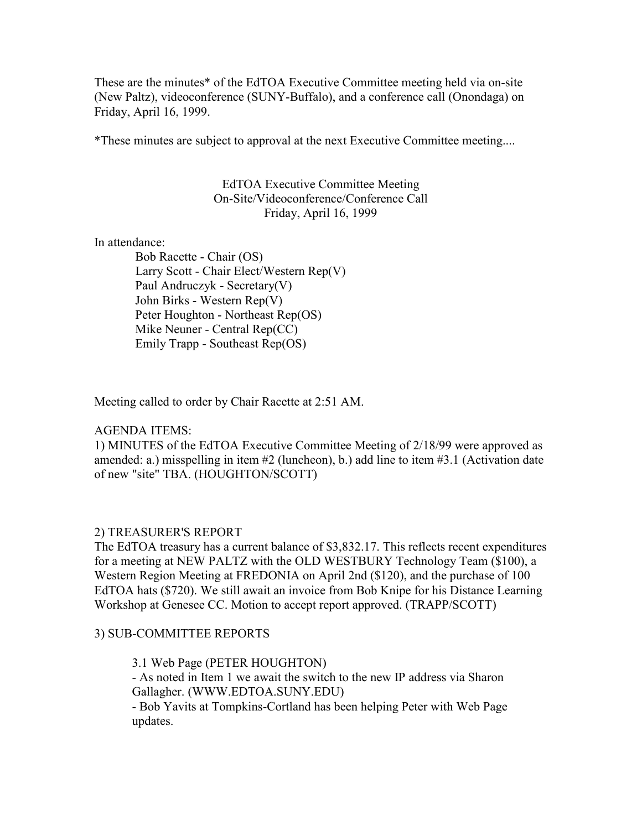These are the minutes\* of the EdTOA Executive Committee meeting held via on-site (New Paltz), videoconference (SUNY-Buffalo), and a conference call (Onondaga) on Friday, April 16, 1999.

\*These minutes are subject to approval at the next Executive Committee meeting....

#### EdTOA Executive Committee Meeting On-Site/Videoconference/Conference Call Friday, April 16, 1999

In attendance:

 Bob Racette - Chair (OS) Larry Scott - Chair Elect/Western Rep(V) Paul Andruczyk - Secretary(V) John Birks - Western Rep(V) Peter Houghton - Northeast Rep(OS) Mike Neuner - Central Rep(CC) Emily Trapp - Southeast Rep(OS)

Meeting called to order by Chair Racette at 2:51 AM.

#### AGENDA ITEMS:

1) MINUTES of the EdTOA Executive Committee Meeting of 2/18/99 were approved as amended: a.) misspelling in item  $\#2$  (luncheon), b.) add line to item  $\#3.1$  (Activation date of new "site" TBA. (HOUGHTON/SCOTT)

#### 2) TREASURER'S REPORT

The EdTOA treasury has a current balance of \$3,832.17. This reflects recent expenditures for a meeting at NEW PALTZ with the OLD WESTBURY Technology Team (\$100), a Western Region Meeting at FREDONIA on April 2nd (\$120), and the purchase of 100 EdTOA hats (\$720). We still await an invoice from Bob Knipe for his Distance Learning Workshop at Genesee CC. Motion to accept report approved. (TRAPP/SCOTT)

### 3) SUB-COMMITTEE REPORTS

3.1 Web Page (PETER HOUGHTON)

- As noted in Item 1 we await the switch to the new IP address via Sharon Gallagher. (WWW.EDTOA.SUNY.EDU)

- Bob Yavits at Tompkins-Cortland has been helping Peter with Web Page updates.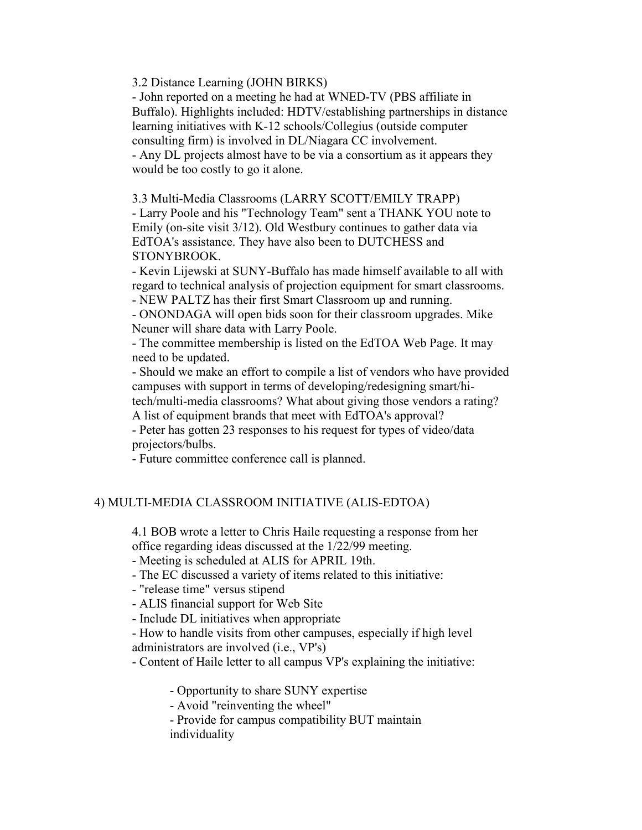3.2 Distance Learning (JOHN BIRKS)

- John reported on a meeting he had at WNED-TV (PBS affiliate in Buffalo). Highlights included: HDTV/establishing partnerships in distance learning initiatives with K-12 schools/Collegius (outside computer consulting firm) is involved in DL/Niagara CC involvement. - Any DL projects almost have to be via a consortium as it appears they would be too costly to go it alone.

3.3 Multi-Media Classrooms (LARRY SCOTT/EMILY TRAPP)

- Larry Poole and his "Technology Team" sent a THANK YOU note to Emily (on-site visit 3/12). Old Westbury continues to gather data via EdTOA's assistance. They have also been to DUTCHESS and STONYBROOK.

- Kevin Lijewski at SUNY-Buffalo has made himself available to all with regard to technical analysis of projection equipment for smart classrooms.

- NEW PALTZ has their first Smart Classroom up and running.

- ONONDAGA will open bids soon for their classroom upgrades. Mike Neuner will share data with Larry Poole.

- The committee membership is listed on the EdTOA Web Page. It may need to be updated.

- Should we make an effort to compile a list of vendors who have provided campuses with support in terms of developing/redesigning smart/hi-

tech/multi-media classrooms? What about giving those vendors a rating? A list of equipment brands that meet with EdTOA's approval?

- Peter has gotten 23 responses to his request for types of video/data projectors/bulbs.

- Future committee conference call is planned.

## 4) MULTI-MEDIA CLASSROOM INITIATIVE (ALIS-EDTOA)

4.1 BOB wrote a letter to Chris Haile requesting a response from her office regarding ideas discussed at the 1/22/99 meeting.

- Meeting is scheduled at ALIS for APRIL 19th.

- The EC discussed a variety of items related to this initiative:

- "release time" versus stipend

- ALIS financial support for Web Site

- Include DL initiatives when appropriate

- How to handle visits from other campuses, especially if high level administrators are involved (i.e., VP's)

- Content of Haile letter to all campus VP's explaining the initiative:

- Opportunity to share SUNY expertise

- Avoid "reinventing the wheel"

- Provide for campus compatibility BUT maintain individuality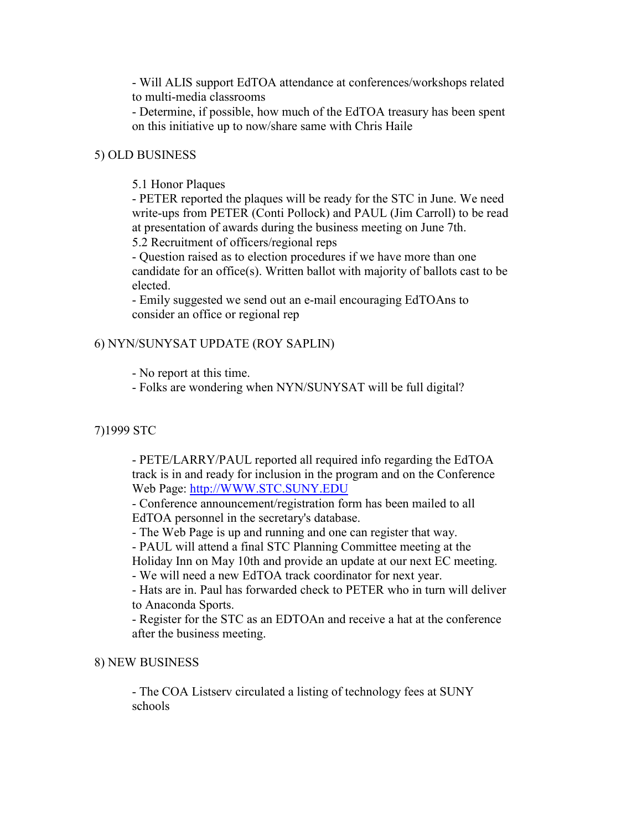- Will ALIS support EdTOA attendance at conferences/workshops related to multi-media classrooms

- Determine, if possible, how much of the EdTOA treasury has been spent on this initiative up to now/share same with Chris Haile

## 5) OLD BUSINESS

## 5.1 Honor Plaques

- PETER reported the plaques will be ready for the STC in June. We need write-ups from PETER (Conti Pollock) and PAUL (Jim Carroll) to be read at presentation of awards during the business meeting on June 7th.

5.2 Recruitment of officers/regional reps

- Question raised as to election procedures if we have more than one candidate for an office(s). Written ballot with majority of ballots cast to be elected.

- Emily suggested we send out an e-mail encouraging EdTOAns to consider an office or regional rep

# 6) NYN/SUNYSAT UPDATE (ROY SAPLIN)

- No report at this time.

- Folks are wondering when NYN/SUNYSAT will be full digital?

### 7)1999 STC

- PETE/LARRY/PAUL reported all required info regarding the EdTOA track is in and ready for inclusion in the program and on the Conference Web Page: http://WWW.STC.SUNY.EDU

- Conference announcement/registration form has been mailed to all EdTOA personnel in the secretary's database.

- The Web Page is up and running and one can register that way.

- PAUL will attend a final STC Planning Committee meeting at the

Holiday Inn on May 10th and provide an update at our next EC meeting.

- We will need a new EdTOA track coordinator for next year.

- Hats are in. Paul has forwarded check to PETER who in turn will deliver to Anaconda Sports.

- Register for the STC as an EDTOAn and receive a hat at the conference after the business meeting.

### 8) NEW BUSINESS

- The COA Listserv circulated a listing of technology fees at SUNY schools